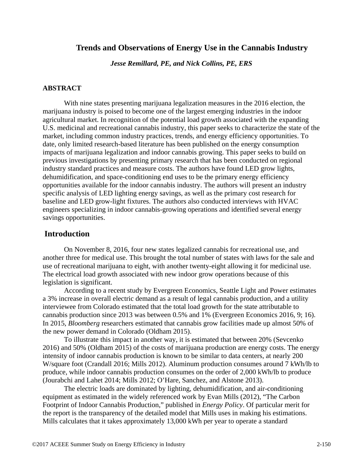#### **Trends and Observations of Energy Use in the Cannabis Industry**

*Jesse Remillard, PE, and Nick Collins, PE, ERS* 

#### **ABSTRACT**

With nine states presenting marijuana legalization measures in the 2016 election, the marijuana industry is poised to become one of the largest emerging industries in the indoor agricultural market. In recognition of the potential load growth associated with the expanding U.S. medicinal and recreational cannabis industry, this paper seeks to characterize the state of the market, including common industry practices, trends, and energy efficiency opportunities. To date, only limited research-based literature has been published on the energy consumption impacts of marijuana legalization and indoor cannabis growing. This paper seeks to build on previous investigations by presenting primary research that has been conducted on regional industry standard practices and measure costs. The authors have found LED grow lights, dehumidification, and space-conditioning end uses to be the primary energy efficiency opportunities available for the indoor cannabis industry. The authors will present an industry specific analysis of LED lighting energy savings, as well as the primary cost research for baseline and LED grow-light fixtures. The authors also conducted interviews with HVAC engineers specializing in indoor cannabis-growing operations and identified several energy savings opportunities.

### **Introduction**

On November 8, 2016, four new states legalized cannabis for recreational use, and another three for medical use. This brought the total number of states with laws for the sale and use of recreational marijuana to eight, with another twenty-eight allowing it for medicinal use. The electrical load growth associated with new indoor grow operations because of this legislation is significant.

According to a recent study by Evergreen Economics, Seattle Light and Power estimates a 3% increase in overall electric demand as a result of legal cannabis production, and a utility interviewee from Colorado estimated that the total load growth for the state attributable to cannabis production since 2013 was between 0.5% and 1% (Evergreen Economics 2016, 9; 16). In 2015, *Bloomberg* researchers estimated that cannabis grow facilities made up almost 50% of the new power demand in Colorado (Oldham 2015).

To illustrate this impact in another way, it is estimated that between 20% (Sevcenko 2016) and 50% (Oldham 2015) of the costs of marijuana production are energy costs. The energy intensity of indoor cannabis production is known to be similar to data centers, at nearly 200 W/square foot (Crandall 2016; Mills 2012). Aluminum production consumes around 7 kWh/lb to produce, while indoor cannabis production consumes on the order of 2,000 kWh/lb to produce (Jourabchi and Lahet 2014; Mills 2012; O'Hare, Sanchez, and Alstone 2013).

The electric loads are dominated by lighting, dehumidification, and air-conditioning equipment as estimated in the widely referenced work by Evan Mills (2012), "The Carbon Footprint of Indoor Cannabis Production," published in *Energy Policy*. Of particular merit for the report is the transparency of the detailed model that Mills uses in making his estimations. Mills calculates that it takes approximately 13,000 kWh per year to operate a standard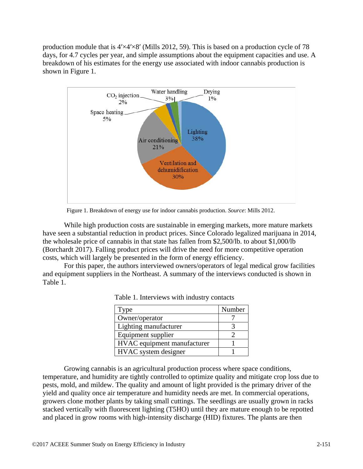production module that is  $4′\times4′\times8′$  (Mills 2012, 59). This is based on a production cycle of 78 days, for 4.7 cycles per year, and simple assumptions about the equipment capacities and use. A breakdown of his estimates for the energy use associated with indoor cannabis production is shown in Figure 1.



Figure 1. Breakdown of energy use for indoor cannabis production. *Source*: Mills 2012.

While high production costs are sustainable in emerging markets, more mature markets have seen a substantial reduction in product prices. Since Colorado legalized marijuana in 2014, the wholesale price of cannabis in that state has fallen from \$2,500/lb. to about \$1,000/lb (Borchardt 2017). Falling product prices will drive the need for more competitive operation costs, which will largely be presented in the form of energy efficiency.

For this paper, the authors interviewed owners/operators of legal medical grow facilities and equipment suppliers in the Northeast. A summary of the interviews conducted is shown in Table 1.

| ype                         | Number |
|-----------------------------|--------|
| Owner/operator              |        |
| Lighting manufacturer       |        |
| Equipment supplier          |        |
| HVAC equipment manufacturer |        |
| HVAC system designer        |        |

| Table 1. Interviews with industry contacts |  |  |  |  |  |
|--------------------------------------------|--|--|--|--|--|
|--------------------------------------------|--|--|--|--|--|

Growing cannabis is an agricultural production process where space conditions, temperature, and humidity are tightly controlled to optimize quality and mitigate crop loss due to pests, mold, and mildew. The quality and amount of light provided is the primary driver of the yield and quality once air temperature and humidity needs are met. In commercial operations, growers clone mother plants by taking small cuttings. The seedlings are usually grown in racks stacked vertically with fluorescent lighting (T5HO) until they are mature enough to be repotted and placed in grow rooms with high-intensity discharge (HID) fixtures. The plants are then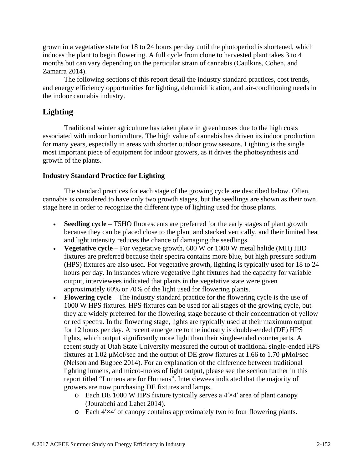grown in a vegetative state for 18 to 24 hours per day until the photoperiod is shortened, which induces the plant to begin flowering. A full cycle from clone to harvested plant takes 3 to 4 months but can vary depending on the particular strain of cannabis (Caulkins, Cohen, and Zamarra 2014).

The following sections of this report detail the industry standard practices, cost trends, and energy efficiency opportunities for lighting, dehumidification, and air-conditioning needs in the indoor cannabis industry.

# **Lighting**

Traditional winter agriculture has taken place in greenhouses due to the high costs associated with indoor horticulture. The high value of cannabis has driven its indoor production for many years, especially in areas with shorter outdoor grow seasons. Lighting is the single most important piece of equipment for indoor growers, as it drives the photosynthesis and growth of the plants.

#### **Industry Standard Practice for Lighting**

The standard practices for each stage of the growing cycle are described below. Often, cannabis is considered to have only two growth stages, but the seedlings are shown as their own stage here in order to recognize the different type of lighting used for those plants.

- **Seedling cycle** T5HO fluorescents are preferred for the early stages of plant growth because they can be placed close to the plant and stacked vertically, and their limited heat and light intensity reduces the chance of damaging the seedlings.
- **Vegetative cycle** For vegetative growth, 600 W or 1000 W metal halide (MH) HID fixtures are preferred because their spectra contains more blue, but high pressure sodium (HPS) fixtures are also used. For vegetative growth, lighting is typically used for 18 to 24 hours per day. In instances where vegetative light fixtures had the capacity for variable output, interviewees indicated that plants in the vegetative state were given approximately 60% or 70% of the light used for flowering plants.
- **Flowering cycle** The industry standard practice for the flowering cycle is the use of 1000 W HPS fixtures. HPS fixtures can be used for all stages of the growing cycle, but they are widely preferred for the flowering stage because of their concentration of yellow or red spectra. In the flowering stage, lights are typically used at their maximum output for 12 hours per day. A recent emergence to the industry is double-ended (DE) HPS lights, which output significantly more light than their single-ended counterparts. A recent study at Utah State University measured the output of traditional single-ended HPS fixtures at 1.02 µMol/sec and the output of DE grow fixtures at 1.66 to 1.70 µMol/sec (Nelson and Bugbee 2014). For an explanation of the difference between traditional lighting lumens, and micro-moles of light output, please see the section further in this report titled "Lumens are for Humans". Interviewees indicated that the majority of growers are now purchasing DE fixtures and lamps.
	- o Each DE 1000 W HPS fixture typically serves a 4ʹ×4ʹ area of plant canopy (Jourabchi and Lahet 2014).
	- o Each 4ʹ×4ʹ of canopy contains approximately two to four flowering plants.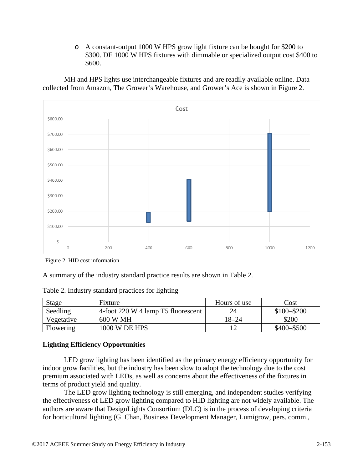o A constant-output 1000 W HPS grow light fixture can be bought for \$200 to \$300. DE 1000 W HPS fixtures with dimmable or specialized output cost \$400 to \$600.

MH and HPS lights use interchangeable fixtures and are readily available online. Data collected from Amazon, The Grower's Warehouse, and Grower's Ace is shown in Figure 2.



Figure 2. HID cost information

A summary of the industry standard practice results are shown in Table 2.

Table 2. Industry standard practices for lighting

| <b>Stage</b> | Fixture                            | Hours of use | $\text{Cost}$ |
|--------------|------------------------------------|--------------|---------------|
| Seedling     | 4-foot 220 W 4 lamp T5 fluorescent | 24           | $$100 - $200$ |
| Vegetative   | 600 W MH                           | $18 - 24$    | \$200         |
| Flowering    | 1000 W DE HPS                      |              | $$400 - $500$ |

# **Lighting Efficiency Opportunities**

LED grow lighting has been identified as the primary energy efficiency opportunity for indoor grow facilities, but the industry has been slow to adopt the technology due to the cost premium associated with LEDs, as well as concerns about the effectiveness of the fixtures in terms of product yield and quality.

The LED grow lighting technology is still emerging, and independent studies verifying the effectiveness of LED grow lighting compared to HID lighting are not widely available. The authors are aware that DesignLights Consortium (DLC) is in the process of developing criteria for horticultural lighting (G. Chan, Business Development Manager, Lumigrow, pers. comm.,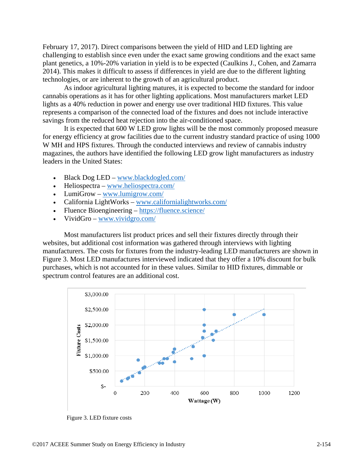February 17, 2017). Direct comparisons between the yield of HID and LED lighting are challenging to establish since even under the exact same growing conditions and the exact same plant genetics, a 10%-20% variation in yield is to be expected (Caulkins J., Cohen, and Zamarra 2014). This makes it difficult to assess if differences in yield are due to the different lighting technologies, or are inherent to the growth of an agricultural product.

As indoor agricultural lighting matures, it is expected to become the standard for indoor cannabis operations as it has for other lighting applications. Most manufacturers market LED lights as a 40% reduction in power and energy use over traditional HID fixtures. This value represents a comparison of the connected load of the fixtures and does not include interactive savings from the reduced heat rejection into the air-conditioned space.

It is expected that 600 W LED grow lights will be the most commonly proposed measure for energy efficiency at grow facilities due to the current industry standard practice of using 1000 W MH and HPS fixtures. Through the conducted interviews and review of cannabis industry magazines, the authors have identified the following LED grow light manufacturers as industry leaders in the United States:

- Black Dog LED www.blackdogled.com/
- Heliospectra www.heliospectra.com/
- LumiGrow www.lumigrow.com/
- California LightWorks www.californialightworks.com/
- Fluence Bioengineering https://fluence.science/
- VividGro www.vividgro.com/

Most manufacturers list product prices and sell their fixtures directly through their websites, but additional cost information was gathered through interviews with lighting manufacturers. The costs for fixtures from the industry-leading LED manufacturers are shown in Figure 3. Most LED manufactures interviewed indicated that they offer a 10% discount for bulk purchases, which is not accounted for in these values. Similar to HID fixtures, dimmable or spectrum control features are an additional cost.



Figure 3. LED fixture costs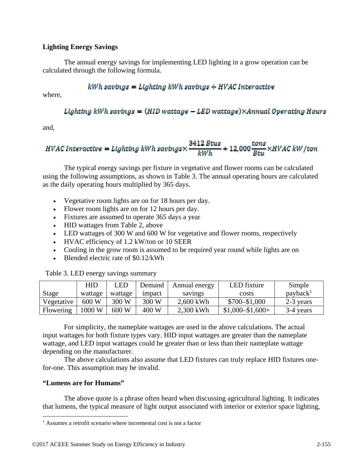#### **Lighting Energy Savings**

The annual energy savings for implementing LED lighting in a grow operation can be calculated through the following formula.

#### $kWh$  savings = Lighting  $kWh$  savings + HVAC Interactive

where,

#### Lighting kWh savings =  $(HID$  wattage - LED wattage) $\times$ Annual Operating Hours

and,

# HVAC Interactive = Lighting kWh savings $\times \frac{3412 \text{ B} \text{t} \text{u} \text{s}}{kWh}$  + 12,000  $\frac{\text{t} \text{m} \text{s}}{\text{R} \text{t} \text{u}}$   $\times$  HVAC kW/ton

The typical energy savings per fixture in vegetative and flower rooms can be calculated using the following assumptions, as shown in Table 3. The annual operating hours are calculated as the daily operating hours multiplied by 365 days.

- Vegetative room lights are on for 18 hours per day.
- Flower room lights are on for 12 hours per day.
- Fixtures are assumed to operate 365 days a year
- HID wattages from Table 2, above
- LED wattages of 300 W and 600 W for vegetative and flower rooms, respectively
- HVAC efficiency of 1.2 kW/ton or 10 SEER
- Cooling in the grow room is assumed to be required year round while lights are on
- Blended electric rate of \$0.12/kWh

Table 3. LED energy savings summary

|            | HID              | LED     | Demand | Annual energy | LED fixture         | Simple               |
|------------|------------------|---------|--------|---------------|---------------------|----------------------|
| Stage      | wattage          | wattage | impact | savings       | costs               | payback <sup>1</sup> |
| Vegetative | 600 W            | 300 W   | 300 W  | 2,600 kWh     | \$700-\$1,000       | 2-3 years            |
| Flowering  | $1000 \text{ W}$ | 600 W   | 400 W  | 2,300 kWh     | $$1,000 - $1,600 +$ | 3-4 years            |

For simplicity, the nameplate wattages are used in the above calculations. The actual input wattages for both fixture types vary. HID input wattages are greater than the nameplate wattage, and LED input wattages could be greater than or less than their nameplate wattage depending on the manufacturer.

The above calculations also assume that LED fixtures can truly replace HID fixtures onefor-one. This assumption may be invalid.

#### **"Lumens are for Humans"**

The above quote is a phrase often heard when discussing agricultural lighting. It indicates that lumens, the typical measure of light output associated with interior or exterior space lighting,

 1 Assumes a retrofit scenario where incremental cost is not a factor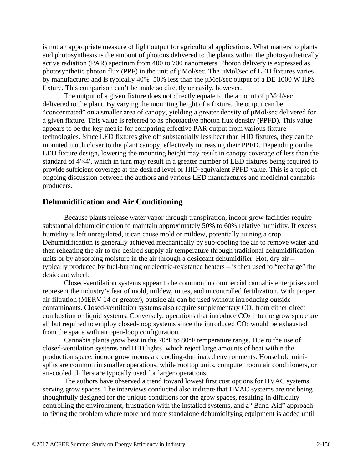is not an appropriate measure of light output for agricultural applications. What matters to plants and photosynthesis is the amount of photons delivered to the plants within the photosynthetically active radiation (PAR) spectrum from 400 to 700 nanometers. Photon delivery is expressed as photosynthetic photon flux (PPF) in the unit of µMol/sec. The µMol/sec of LED fixtures varies by manufacturer and is typically 40%–50% less than the µMol/sec output of a DE 1000 W HPS fixture. This comparison can't be made so directly or easily, however.

The output of a given fixture does not directly equate to the amount of  $\mu$ Mol/sec delivered to the plant. By varying the mounting height of a fixture, the output can be "concentrated" on a smaller area of canopy, yielding a greater density of µMol/sec delivered for a given fixture. This value is referred to as photoactive photon flux density (PPFD). This value appears to be the key metric for comparing effective PAR output from various fixture technologies. Since LED fixtures give off substantially less heat than HID fixtures, they can be mounted much closer to the plant canopy, effectively increasing their PPFD. Depending on the LED fixture design, lowering the mounting height may result in canopy coverage of less than the standard of 4ʹ×4ʹ, which in turn may result in a greater number of LED fixtures being required to provide sufficient coverage at the desired level or HID-equivalent PPFD value. This is a topic of ongoing discussion between the authors and various LED manufactures and medicinal cannabis producers.

# **Dehumidification and Air Conditioning**

Because plants release water vapor through transpiration, indoor grow facilities require substantial dehumidification to maintain approximately 50% to 60% relative humidity. If excess humidity is left unregulated, it can cause mold or mildew, potentially ruining a crop. Dehumidification is generally achieved mechanically by sub-cooling the air to remove water and then reheating the air to the desired supply air temperature through traditional dehumidification units or by absorbing moisture in the air through a desiccant dehumidifier. Hot, dry air – typically produced by fuel-burning or electric-resistance heaters – is then used to "recharge" the desiccant wheel.

Closed-ventilation systems appear to be common in commercial cannabis enterprises and represent the industry's fear of mold, mildew, mites, and uncontrolled fertilization. With proper air filtration (MERV 14 or greater), outside air can be used without introducing outside contaminants. Closed-ventilation systems also require supplementary CO<sub>2</sub> from either direct combustion or liquid systems. Conversely, operations that introduce  $CO<sub>2</sub>$  into the grow space are all but required to employ closed-loop systems since the introduced  $CO<sub>2</sub>$  would be exhausted from the space with an open-loop configuration.

Cannabis plants grow best in the 70°F to 80°F temperature range. Due to the use of closed-ventilation systems and HID lights, which reject large amounts of heat within the production space, indoor grow rooms are cooling-dominated environments. Household minisplits are common in smaller operations, while rooftop units, computer room air conditioners, or air-cooled chillers are typically used for larger operations.

The authors have observed a trend toward lowest first cost options for HVAC systems serving grow spaces. The interviews conducted also indicate that HVAC systems are not being thoughtfully designed for the unique conditions for the grow spaces, resulting in difficulty controlling the environment, frustration with the installed systems, and a "Band-Aid" approach to fixing the problem where more and more standalone dehumidifying equipment is added until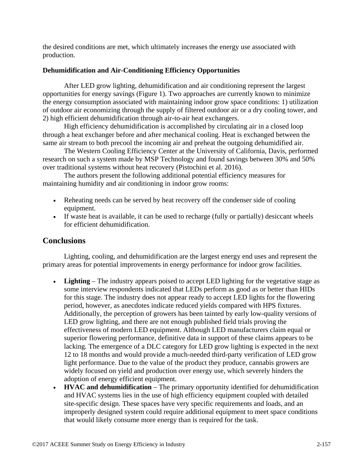the desired conditions are met, which ultimately increases the energy use associated with production.

#### **Dehumidification and Air-Conditioning Efficiency Opportunities**

After LED grow lighting, dehumidification and air conditioning represent the largest opportunities for energy savings (Figure 1). Two approaches are currently known to minimize the energy consumption associated with maintaining indoor grow space conditions: 1) utilization of outdoor air economizing through the supply of filtered outdoor air or a dry cooling tower, and 2) high efficient dehumidification through air-to-air heat exchangers.

High efficiency dehumidification is accomplished by circulating air in a closed loop through a heat exchanger before and after mechanical cooling. Heat is exchanged between the same air stream to both precool the incoming air and preheat the outgoing dehumidified air.

The Western Cooling Efficiency Center at the University of California, Davis, performed research on such a system made by MSP Technology and found savings between 30% and 50% over traditional systems without heat recovery (Pistochini et al. 2016).

The authors present the following additional potential efficiency measures for maintaining humidity and air conditioning in indoor grow rooms:

- Reheating needs can be served by heat recovery off the condenser side of cooling equipment.
- If waste heat is available, it can be used to recharge (fully or partially) desiccant wheels for efficient dehumidification.

# **Conclusions**

Lighting, cooling, and dehumidification are the largest energy end uses and represent the primary areas for potential improvements in energy performance for indoor grow facilities.

- **Lighting** The industry appears poised to accept LED lighting for the vegetative stage as some interview respondents indicated that LEDs perform as good as or better than HIDs for this stage. The industry does not appear ready to accept LED lights for the flowering period, however, as anecdotes indicate reduced yields compared with HPS fixtures. Additionally, the perception of growers has been tainted by early low-quality versions of LED grow lighting, and there are not enough published field trials proving the effectiveness of modern LED equipment. Although LED manufacturers claim equal or superior flowering performance, definitive data in support of these claims appears to be lacking. The emergence of a DLC category for LED grow lighting is expected in the next 12 to 18 months and would provide a much-needed third-party verification of LED grow light performance. Due to the value of the product they produce, cannabis growers are widely focused on yield and production over energy use, which severely hinders the adoption of energy efficient equipment.
- **HVAC and dehumidification** The primary opportunity identified for dehumidification and HVAC systems lies in the use of high efficiency equipment coupled with detailed site-specific design. These spaces have very specific requirements and loads, and an improperly designed system could require additional equipment to meet space conditions that would likely consume more energy than is required for the task.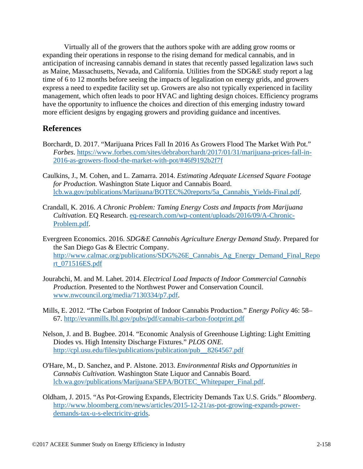Virtually all of the growers that the authors spoke with are adding grow rooms or expanding their operations in response to the rising demand for medical cannabis, and in anticipation of increasing cannabis demand in states that recently passed legalization laws such as Maine, Massachusetts, Nevada, and California. Utilities from the SDG&E study report a lag time of 6 to 12 months before seeing the impacts of legalization on energy grids, and growers express a need to expedite facility set up. Growers are also not typically experienced in facility management, which often leads to poor HVAC and lighting design choices. Efficiency programs have the opportunity to influence the choices and direction of this emerging industry toward more efficient designs by engaging growers and providing guidance and incentives.

# **References**

- Borchardt, D. 2017. "Marijuana Prices Fall In 2016 As Growers Flood The Market With Pot." *Forbes*. https://www.forbes.com/sites/debraborchardt/2017/01/31/marijuana-prices-fall-in-2016-as-growers-flood-the-market-with-pot/#46f9192b2f7f
- Caulkins, J., M. Cohen, and L. Zamarra. 2014. *Estimating Adequate Licensed Square Footage for Production.* Washington State Liquor and Cannabis Board. lcb.wa.gov/publications/Marijuana/BOTEC%20reports/5a\_Cannabis\_Yields-Final.pdf.
- Crandall, K. 2016. *A Chronic Problem: Taming Energy Costs and Impacts from Marijuana Cultivation.* EQ Research. eq-research.com/wp-content/uploads/2016/09/A-Chronic-Problem.pdf.
- Evergreen Economics. 2016. *SDG&E Cannabis Agriculture Energy Demand Study.* Prepared for the San Diego Gas & Electric Company. http://www.calmac.org/publications/SDG%26E\_Cannabis\_Ag\_Energy\_Demand\_Final\_Repo rt\_071516ES.pdf
- Jourabchi, M. and M. Lahet. 2014. *Electrical Load Impacts of Indoor Commercial Cannabis Production.* Presented to the Northwest Power and Conservation Council. www.nwcouncil.org/media/7130334/p7.pdf.
- Mills, E. 2012. "The Carbon Footprint of Indoor Cannabis Production." *Energy Policy* 46: 58– 67. http://evanmills.lbl.gov/pubs/pdf/cannabis-carbon-footprint.pdf
- Nelson, J. and B. Bugbee. 2014. "Economic Analysis of Greenhouse Lighting: Light Emitting Diodes vs. High Intensity Discharge Fixtures." *PLOS ONE*. http://cpl.usu.edu/files/publications/publication/pub\_\_8264567.pdf
- O'Hare, M., D. Sanchez, and P. Alstone. 2013. *Environmental Risks and Opportunities in Cannabis Cultivation.* Washington State Liquor and Cannabis Board. lcb.wa.gov/publications/Marijuana/SEPA/BOTEC\_Whitepaper\_Final.pdf.
- Oldham, J. 2015. "As Pot-Growing Expands, Electricity Demands Tax U.S. Grids." *Bloomberg*. http://www.bloomberg.com/news/articles/2015-12-21/as-pot-growing-expands-powerdemands-tax-u-s-electricity-grids.